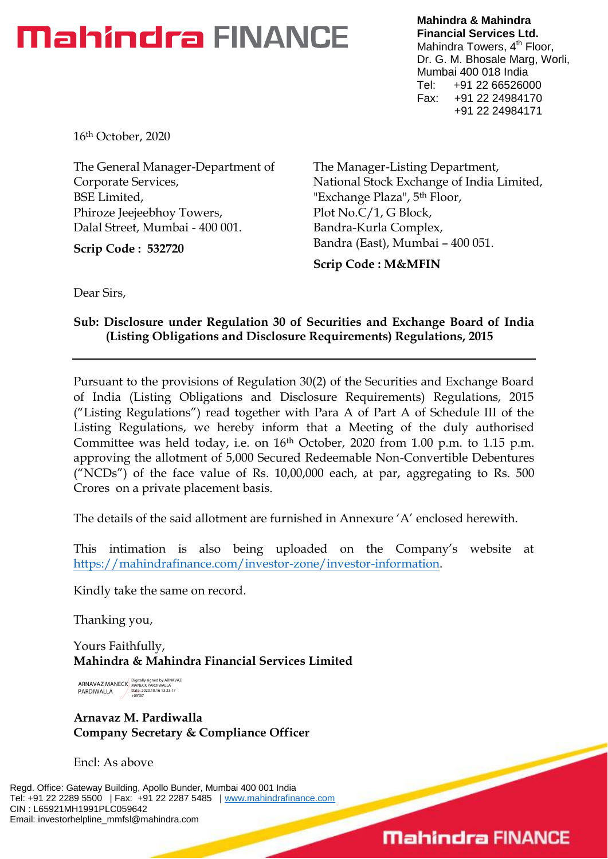### **Mahindra FINANCE**

**Mahindra & Mahindra Financial Services Ltd.** Mahindra Towers, 4<sup>th</sup> Floor, Dr. G. M. Bhosale Marg, Worli, Mumbai 400 018 India Tel: +91 22 66526000 Fax: +91 22 24984170 +91 22 24984171

16th October, 2020

The General Manager-Department of Corporate Services, BSE Limited, Phiroze Jeejeebhoy Towers, Dalal Street, Mumbai - 400 001.

**Scrip Code : 532720**

The Manager-Listing Department, National Stock Exchange of India Limited, "Exchange Plaza", 5th Floor, Plot No.C/1, G Block, Bandra-Kurla Complex, Bandra (East), Mumbai – 400 051.

**Scrip Code : M&MFIN**

Dear Sirs,

#### **Sub: Disclosure under Regulation 30 of Securities and Exchange Board of India (Listing Obligations and Disclosure Requirements) Regulations, 2015**

Pursuant to the provisions of Regulation 30(2) of the Securities and Exchange Board of India (Listing Obligations and Disclosure Requirements) Regulations, 2015 ("Listing Regulations") read together with Para A of Part A of Schedule III of the Listing Regulations, we hereby inform that a Meeting of the duly authorised Committee was held today, i.e. on 16th October, 2020 from 1.00 p.m. to 1.15 p.m. approving the allotment of 5,000 Secured Redeemable Non-Convertible Debentures ("NCDs") of the face value of Rs. 10,00,000 each, at par, aggregating to Rs. 500 Crores on a private placement basis.

The details of the said allotment are furnished in Annexure "A" enclosed herewith.

This intimation is also being uploaded on the Company"s website at [https://mahindrafinance.com/investor-zone/investor-information.](https://mahindrafinance.com/investor-zone/investor-information)

Kindly take the same on record.

Thanking you,

Yours Faithfully, **Mahindra & Mahindra Financial Services Limited**

ARNAVAZ MANECK PARDIWALLA Digitally signed by ARNAVAZ MANECK PARDIWALLA Date: 2020.10.16 13:23:17 +05'30'

**Arnavaz M. Pardiwalla Company Secretary & Compliance Officer**

Encl: As above

Regd. Office: Gateway Building, Apollo Bunder, Mumbai 400 001 India Tel: +91 22 2289 5500 | Fax: +91 22 2287 5485 | [www.mahindrafinance.com](http://www.mahindrafinance.com/) CIN : L65921MH1991PLC059642 Email: investorhelpline\_mmfsl@mahindra.com

### **Mahindra FINANCE**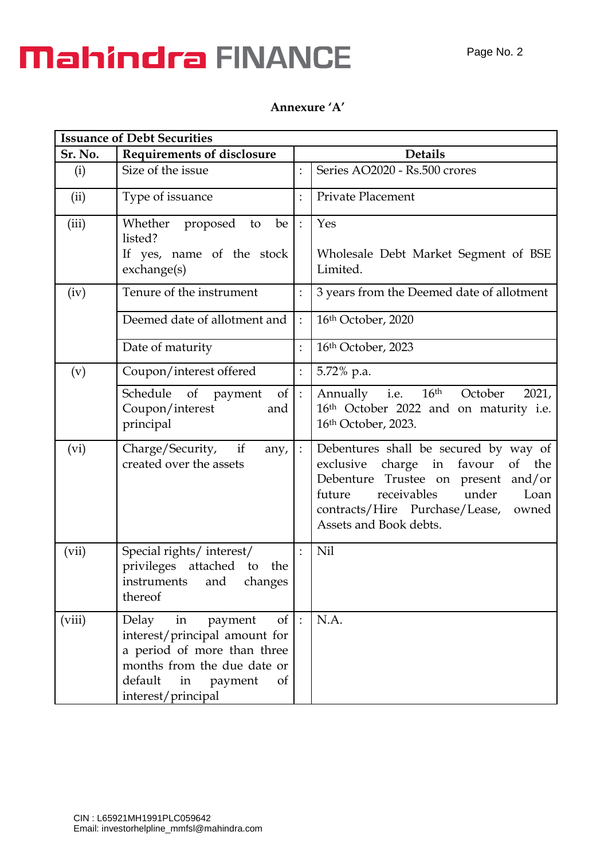# **Mahindra FINANCE**

### **Annexure 'A'**

| <b>Issuance of Debt Securities</b> |                                                                                                                                                                                                     |                            |                                                                                                                                                                                                                                              |  |  |
|------------------------------------|-----------------------------------------------------------------------------------------------------------------------------------------------------------------------------------------------------|----------------------------|----------------------------------------------------------------------------------------------------------------------------------------------------------------------------------------------------------------------------------------------|--|--|
| Sr. No.                            | <b>Requirements of disclosure</b>                                                                                                                                                                   |                            | <b>Details</b>                                                                                                                                                                                                                               |  |  |
| (i)                                | Size of the issue                                                                                                                                                                                   |                            | Series AO2020 - Rs.500 crores                                                                                                                                                                                                                |  |  |
| (ii)                               | Type of issuance                                                                                                                                                                                    | $\vdots$                   | <b>Private Placement</b>                                                                                                                                                                                                                     |  |  |
| (iii)                              | Whether proposed<br>to<br>be<br>listed?<br>If yes, name of the stock<br>exchange(s)                                                                                                                 |                            | Yes<br>Wholesale Debt Market Segment of BSE<br>Limited.                                                                                                                                                                                      |  |  |
| (iv)                               | Tenure of the instrument                                                                                                                                                                            |                            | 3 years from the Deemed date of allotment                                                                                                                                                                                                    |  |  |
|                                    | Deemed date of allotment and                                                                                                                                                                        |                            | 16th October, 2020                                                                                                                                                                                                                           |  |  |
|                                    | Date of maturity                                                                                                                                                                                    | $\ddot{\cdot}$             | 16th October, 2023                                                                                                                                                                                                                           |  |  |
| (v)                                | Coupon/interest offered                                                                                                                                                                             |                            | 5.72% p.a.                                                                                                                                                                                                                                   |  |  |
|                                    | Schedule of payment<br>of 1<br>Coupon/interest<br>and<br>principal                                                                                                                                  | $\overline{\phantom{a}}$ : | 16 <sup>th</sup> October<br>2021,<br>Annually <i>i.e.</i><br>16 <sup>th</sup> October 2022 and on maturity i.e.<br>16th October, 2023.                                                                                                       |  |  |
| (vi)                               | Charge/Security,<br>if<br>any,<br>created over the assets                                                                                                                                           |                            | Debentures shall be secured by way of<br>charge in<br>favour<br>exclusive<br>the<br>of<br>Debenture Trustee on present and/or<br>receivables<br>under<br>Loan<br>future<br>contracts/Hire Purchase/Lease,<br>owned<br>Assets and Book debts. |  |  |
| (vii)                              | Special rights/ interest/<br>privileges attached to<br>the<br>instruments<br>and<br>changes<br>thereof                                                                                              |                            | Nil                                                                                                                                                                                                                                          |  |  |
| (viii)                             | Delay in<br>$\sigma f$<br>payment<br>interest/principal amount for<br>a period of more than three<br>months from the due date or<br>default<br>in<br>payment<br><sub>of</sub><br>interest/principal |                            | N.A.                                                                                                                                                                                                                                         |  |  |